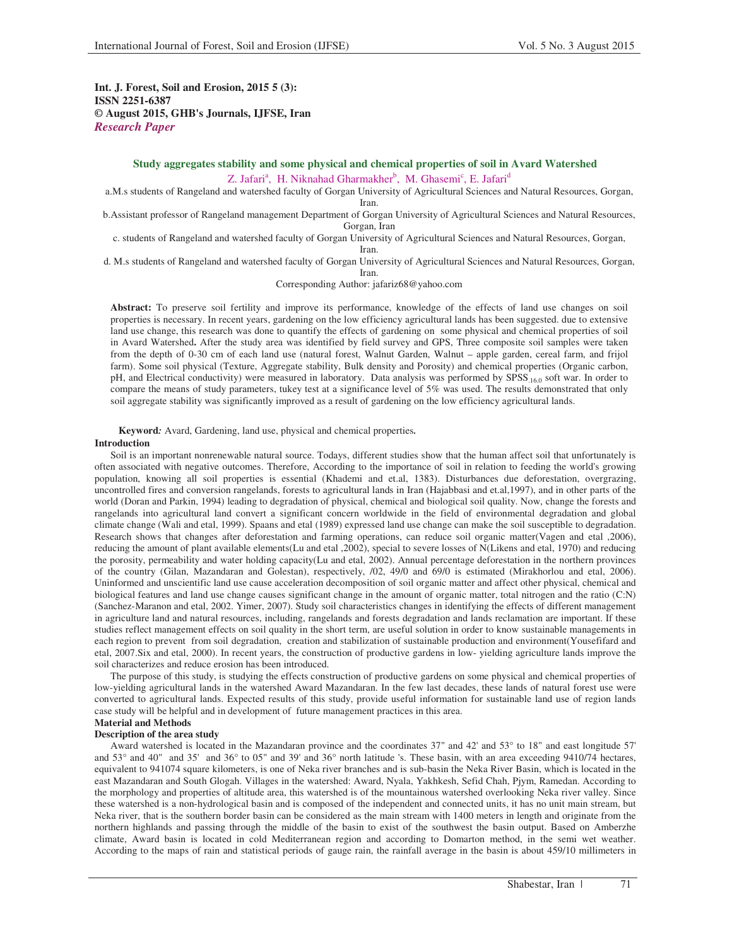**Int. J. Forest, Soil and Erosion, 2015 5 (3): ISSN 2251-6387 © August 2015, GHB's Journals, IJFSE, Iran** *Research Paper* 

## **Study aggregates stability and some physical and chemical properties of soil in Avard Watershed**  Z. Jafari<sup>a</sup>, H. Niknahad Gharmakher<sup>b</sup>, M. Ghasemi<sup>c</sup>, E. Jafari<sup>d</sup>

a.M.s students of Rangeland and watershed faculty of Gorgan University of Agricultural Sciences and Natural Resources, Gorgan, Iran.

b.Assistant professor of Rangeland management Department of Gorgan University of Agricultural Sciences and Natural Resources, Gorgan, Iran

c. students of Rangeland and watershed faculty of Gorgan University of Agricultural Sciences and Natural Resources, Gorgan,

Iran.

d. M.s students of Rangeland and watershed faculty of Gorgan University of Agricultural Sciences and Natural Resources, Gorgan, Iran.

Corresponding Author: jafariz68@yahoo.com

**Abstract:** To preserve soil fertility and improve its performance, knowledge of the effects of land use changes on soil properties is necessary. In recent years, gardening on the low efficiency agricultural lands has been suggested. due to extensive land use change, this research was done to quantify the effects of gardening on some physical and chemical properties of soil in Avard Watershed**.** After the study area was identified by field survey and GPS, Three composite soil samples were taken from the depth of 0-30 cm of each land use (natural forest, Walnut Garden, Walnut – apple garden, cereal farm, and frijol farm). Some soil physical (Texture, Aggregate stability, Bulk density and Porosity) and chemical properties (Organic carbon, pH, and Electrical conductivity) were measured in laboratory. Data analysis was performed by SPSS.16.0 soft war. In order to compare the means of study parameters, tukey test at a significance level of 5% was used. The results demonstrated that only soil aggregate stability was significantly improved as a result of gardening on the low efficiency agricultural lands.

**Keyword***:* Avard, Gardening, land use, physical and chemical properties*.* 

### **Introduction**

Soil is an important nonrenewable natural source. Todays, different studies show that the human affect soil that unfortunately is often associated with negative outcomes. Therefore, According to the importance of soil in relation to feeding the world's growing population, knowing all soil properties is essential (Khademi and et.al, 1383). Disturbances due deforestation, overgrazing, uncontrolled fires and conversion rangelands, forests to agricultural lands in Iran (Hajabbasi and et.al,1997), and in other parts of the world (Doran and Parkin, 1994) leading to degradation of physical, chemical and biological soil quality. Now, change the forests and rangelands into agricultural land convert a significant concern worldwide in the field of environmental degradation and global climate change (Wali and etal, 1999). Spaans and etal (1989) expressed land use change can make the soil susceptible to degradation. Research shows that changes after deforestation and farming operations, can reduce soil organic matter(Vagen and etal ,2006), reducing the amount of plant available elements(Lu and etal ,2002), special to severe losses of N(Likens and etal, 1970) and reducing the porosity, permeability and water holding capacity(Lu and etal, 2002). Annual percentage deforestation in the northern provinces of the country (Gilan, Mazandaran and Golestan), respectively, /02, 49/0 and 69/0 is estimated (Mirakhorlou and etal, 2006). Uninformed and unscientific land use cause acceleration decomposition of soil organic matter and affect other physical, chemical and biological features and land use change causes significant change in the amount of organic matter, total nitrogen and the ratio (C:N) (Sanchez-Maranon and etal, 2002. Yimer, 2007). Study soil characteristics changes in identifying the effects of different management in agriculture land and natural resources, including, rangelands and forests degradation and lands reclamation are important. If these studies reflect management effects on soil quality in the short term, are useful solution in order to know sustainable managements in each region to prevent from soil degradation, creation and stabilization of sustainable production and environment(Yousefifard and etal, 2007.Six and etal, 2000). In recent years, the construction of productive gardens in low- yielding agriculture lands improve the soil characterizes and reduce erosion has been introduced.

The purpose of this study, is studying the effects construction of productive gardens on some physical and chemical properties of low-yielding agricultural lands in the watershed Award Mazandaran. In the few last decades, these lands of natural forest use were converted to agricultural lands. Expected results of this study, provide useful information for sustainable land use of region lands case study will be helpful and in development of future management practices in this area.

### **Material and Methods Description of the area study**

Award watershed is located in the Mazandaran province and the coordinates 37" and 42' and 53° to 18" and east longitude 57' and 53° and 40" and 35' and 36° to 05" and 39' and 36° north latitude 's. These basin, with an area exceeding 9410/74 hectares, equivalent to 941074 square kilometers, is one of Neka river branches and is sub-basin the Neka River Basin, which is located in the east Mazandaran and South Glogah. Villages in the watershed: Award, Nyala, Yakhkesh, Sefid Chah, Pjym, Ramedan. According to the morphology and properties of altitude area, this watershed is of the mountainous watershed overlooking Neka river valley. Since these watershed is a non-hydrological basin and is composed of the independent and connected units, it has no unit main stream, but Neka river, that is the southern border basin can be considered as the main stream with 1400 meters in length and originate from the northern highlands and passing through the middle of the basin to exist of the southwest the basin output. Based on Amberzhe climate, Award basin is located in cold Mediterranean region and according to Domarton method, in the semi wet weather. According to the maps of rain and statistical periods of gauge rain, the rainfall average in the basin is about 459/10 millimeters in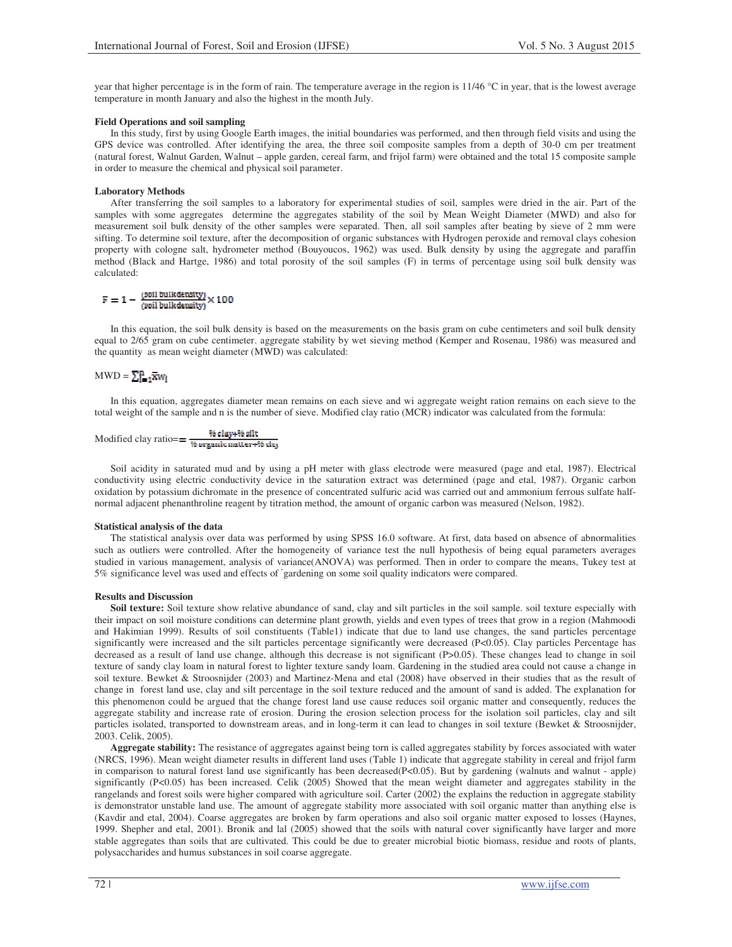year that higher percentage is in the form of rain. The temperature average in the region is 11/46 °C in year, that is the lowest average temperature in month January and also the highest in the month July.

## **Field Operations and soil sampling**

In this study, first by using Google Earth images, the initial boundaries was performed, and then through field visits and using the GPS device was controlled. After identifying the area, the three soil composite samples from a depth of 30-0 cm per treatment (natural forest, Walnut Garden, Walnut – apple garden, cereal farm, and frijol farm) were obtained and the total 15 composite sample in order to measure the chemical and physical soil parameter.

## **Laboratory Methods**

After transferring the soil samples to a laboratory for experimental studies of soil, samples were dried in the air. Part of the samples with some aggregates determine the aggregates stability of the soil by Mean Weight Diameter (MWD) and also for measurement soil bulk density of the other samples were separated. Then, all soil samples after beating by sieve of 2 mm were sifting. To determine soil texture, after the decomposition of organic substances with Hydrogen peroxide and removal clays cohesion property with cologne salt, hydrometer method (Bouyoucos, 1962) was used. Bulk density by using the aggregate and paraffin method (Black and Hartge, 1986) and total porosity of the soil samples (F) in terms of percentage using soil bulk density was calculated:

$$
F=1-\tfrac{(\text{solid bulk density})}{(\text{solid bulk density})}\times 100
$$

In this equation, the soil bulk density is based on the measurements on the basis gram on cube centimeters and soil bulk density equal to 2/65 gram on cube centimeter. aggregate stability by wet sieving method (Kemper and Rosenau, 1986) was measured and the quantity as mean weight diameter (MWD) was calculated:

# $MWD = \sum_{i=1}^{n} \overline{Xw_i}$

In this equation, aggregates diameter mean remains on each sieve and wi aggregate weight ration remains on each sieve to the total weight of the sample and n is the number of sieve. Modified clay ratio (MCR) indicator was calculated from the formula:

$$
\text{Modified clay ratio} == \frac{\% \text{clay} + \% \text{ siit}}{\% \text{organic matter} + \% \text{ ds}}
$$

Soil acidity in saturated mud and by using a pH meter with glass electrode were measured (page and etal, 1987). Electrical conductivity using electric conductivity device in the saturation extract was determined (page and etal, 1987). Organic carbon oxidation by potassium dichromate in the presence of concentrated sulfuric acid was carried out and ammonium ferrous sulfate halfnormal adjacent phenanthroline reagent by titration method, the amount of organic carbon was measured (Nelson, 1982).

### **Statistical analysis of the data**

The statistical analysis over data was performed by using SPSS 16.0 software. At first, data based on absence of abnormalities such as outliers were controlled. After the homogeneity of variance test the null hypothesis of being equal parameters averages studied in various management, analysis of variance(ANOVA) was performed. Then in order to compare the means, Tukey test at 5% significance level was used and effects of gardening on some soil quality indicators were compared.

## **Results and Discussion**

**Soil texture:** Soil texture show relative abundance of sand, clay and silt particles in the soil sample. soil texture especially with their impact on soil moisture conditions can determine plant growth, yields and even types of trees that grow in a region (Mahmoodi and Hakimian 1999). Results of soil constituents (Table1) indicate that due to land use changes, the sand particles percentage significantly were increased and the silt particles percentage significantly were decreased (P<0.05). Clay particles Percentage has decreased as a result of land use change, although this decrease is not significant (P>0.05). These changes lead to change in soil texture of sandy clay loam in natural forest to lighter texture sandy loam. Gardening in the studied area could not cause a change in soil texture. Bewket & Stroosnijder (2003) and Martinez-Mena and etal (2008) have observed in their studies that as the result of change in forest land use, clay and silt percentage in the soil texture reduced and the amount of sand is added. The explanation for this phenomenon could be argued that the change forest land use cause reduces soil organic matter and consequently, reduces the aggregate stability and increase rate of erosion. During the erosion selection process for the isolation soil particles, clay and silt particles isolated, transported to downstream areas, and in long-term it can lead to changes in soil texture (Bewket & Stroosnijder, 2003. Celik, 2005).

**Aggregate stability:** The resistance of aggregates against being torn is called aggregates stability by forces associated with water (NRCS, 1996). Mean weight diameter results in different land uses (Table 1) indicate that aggregate stability in cereal and frijol farm in comparison to natural forest land use significantly has been decreased(P<0.05). But by gardening (walnuts and walnut - apple) significantly (P<0.05) has been increased. Celik (2005) Showed that the mean weight diameter and aggregates stability in the rangelands and forest soils were higher compared with agriculture soil. Carter (2002) the explains the reduction in aggregate stability is demonstrator unstable land use. The amount of aggregate stability more associated with soil organic matter than anything else is (Kavdir and etal, 2004). Coarse aggregates are broken by farm operations and also soil organic matter exposed to losses (Haynes, 1999. Shepher and etal, 2001). Bronik and lal (2005) showed that the soils with natural cover significantly have larger and more stable aggregates than soils that are cultivated. This could be due to greater microbial biotic biomass, residue and roots of plants, polysaccharides and humus substances in soil coarse aggregate.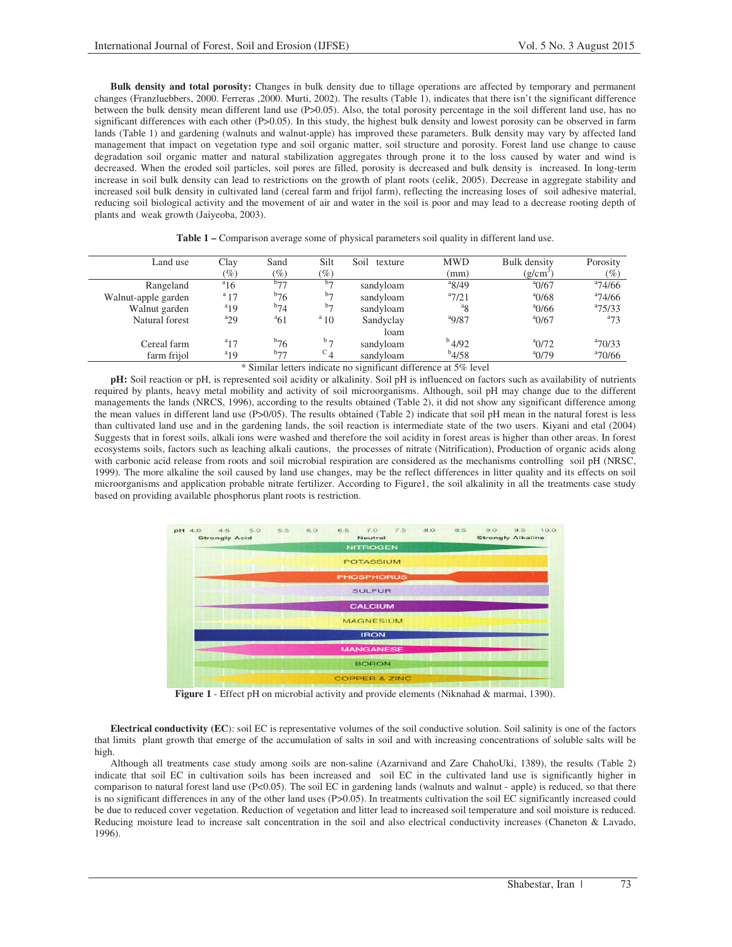**Bulk density and total porosity:** Changes in bulk density due to tillage operations are affected by temporary and permanent changes (Franzluebbers, 2000. Ferreras ,2000. Murti, 2002). The results (Table 1), indicates that there isn't the significant difference between the bulk density mean different land use (P>0.05). Also, the total porosity percentage in the soil different land use, has no significant differences with each other (P>0.05). In this study, the highest bulk density and lowest porosity can be observed in farm lands (Table 1) and gardening (walnuts and walnut-apple) has improved these parameters. Bulk density may vary by affected land management that impact on vegetation type and soil organic matter, soil structure and porosity. Forest land use change to cause degradation soil organic matter and natural stabilization aggregates through prone it to the loss caused by water and wind is decreased. When the eroded soil particles, soil pores are filled, porosity is decreased and bulk density is increased. In long-term increase in soil bulk density can lead to restrictions on the growth of plant roots (celik, 2005). Decrease in aggregate stability and increased soil bulk density in cultivated land (cereal farm and frijol farm), reflecting the increasing loses of soil adhesive material, reducing soil biological activity and the movement of air and water in the soil is poor and may lead to a decrease rooting depth of plants and weak growth (Jaiyeoba, 2003).

| Land use            | Clay                                                                                                       | Sand              | Silt              | Soil<br>texture | <b>MWD</b>                | <b>Bulk</b> density | Porosity      |  |
|---------------------|------------------------------------------------------------------------------------------------------------|-------------------|-------------------|-----------------|---------------------------|---------------------|---------------|--|
|                     | $\mathscr{O}_0$                                                                                            | $(\%)$            | $(\%)$            |                 | (mm)                      | $(g/cm^{3})$        | $(\%)$        |  |
| Rangeland           | $a_{16}$                                                                                                   | $b_{77}$          | $b\rightarrow$    | sandyloam       | $a$ 8/49                  | $^{a}$ 0/67         | $^{a}74/66$   |  |
| Walnut-apple garden | $a_{17}$                                                                                                   | $b_{76}$          | $b_{\mathcal{L}}$ | sandyloam       | $a_{7/21}$                | $^{a}$ 0/68         | $^{a}74/66$   |  |
| Walnut garden       | $a_{19}$                                                                                                   | $b_{74}$          | $b_{\mathcal{L}}$ | sandyloam       | <sup>a</sup> <sub>8</sub> | $^{a}$ 0/66         | $a^{2}$ 75/33 |  |
| Natural forest      | $a_{29}$                                                                                                   | $\mathrm{^{a}61}$ | $a_{10}$          | Sandyclay       | $^{a}9/87$                | $^{a}$ 0/67         | $a_{73}$      |  |
|                     |                                                                                                            |                   |                   | loam            |                           |                     |               |  |
| Cereal farm         | $a_{17}$                                                                                                   | $b_{76}$          | $b -$             | sandyloam       | $^{b}$ 4/92               | $^{a}$ 0/72         | $^{a}70/33$   |  |
| farm frijol         | $a_{19}$                                                                                                   | $b_{77}$          | $^{c}$ 4          | sandyloam       | $b$ 4/58                  | $^{a}$ 0/79         | $a$ 70/66     |  |
|                     | $\ast$ City, it is the constant of a second state of the second state $\sigma$ is the constant of $\sigma$ |                   |                   |                 |                           |                     |               |  |

|  |  |  |  |  |  | <b>Table 1 – Comparison average some of physical parameters soil quality in different land use.</b> |
|--|--|--|--|--|--|-----------------------------------------------------------------------------------------------------|
|--|--|--|--|--|--|-----------------------------------------------------------------------------------------------------|

\* Similar letters indicate no significant difference at 5% level

**pH:** Soil reaction or pH, is represented soil acidity or alkalinity. Soil pH is influenced on factors such as availability of nutrients required by plants, heavy metal mobility and activity of soil microorganisms. Although, soil pH may change due to the different managements the lands (NRCS, 1996), according to the results obtained (Table 2), it did not show any significant difference among the mean values in different land use (P>0/05). The results obtained (Table 2) indicate that soil pH mean in the natural forest is less than cultivated land use and in the gardening lands, the soil reaction is intermediate state of the two users. Kiyani and etal (2004) Suggests that in forest soils, alkali ions were washed and therefore the soil acidity in forest areas is higher than other areas. In forest ecosystems soils, factors such as leaching alkali cautions, the processes of nitrate (Nitrification), Production of organic acids along with carbonic acid release from roots and soil microbial respiration are considered as the mechanisms controlling soil pH (NRSC, 1999). The more alkaline the soil caused by land use changes, may be the reflect differences in litter quality and its effects on soil microorganisms and application probable nitrate fertilizer. According to Figure1, the soil alkalinity in all the treatments case study based on providing available phosphorus plant roots is restriction.



**Figure 1** - Effect pH on microbial activity and provide elements (Niknahad & marmai, 1390).

**Electrical conductivity (EC**): soil EC is representative volumes of the soil conductive solution. Soil salinity is one of the factors that limits plant growth that emerge of the accumulation of salts in soil and with increasing concentrations of soluble salts will be high.

Although all treatments case study among soils are non-saline (Azarnivand and Zare ChahoUki, 1389), the results (Table 2) indicate that soil EC in cultivation soils has been increased and soil EC in the cultivated land use is significantly higher in comparison to natural forest land use (P<0.05). The soil EC in gardening lands (walnuts and walnut - apple) is reduced, so that there is no significant differences in any of the other land uses (P>0.05). In treatments cultivation the soil EC significantly increased could be due to reduced cover vegetation. Reduction of vegetation and litter lead to increased soil temperature and soil moisture is reduced. Reducing moisture lead to increase salt concentration in the soil and also electrical conductivity increases (Chaneton & Lavado, 1996).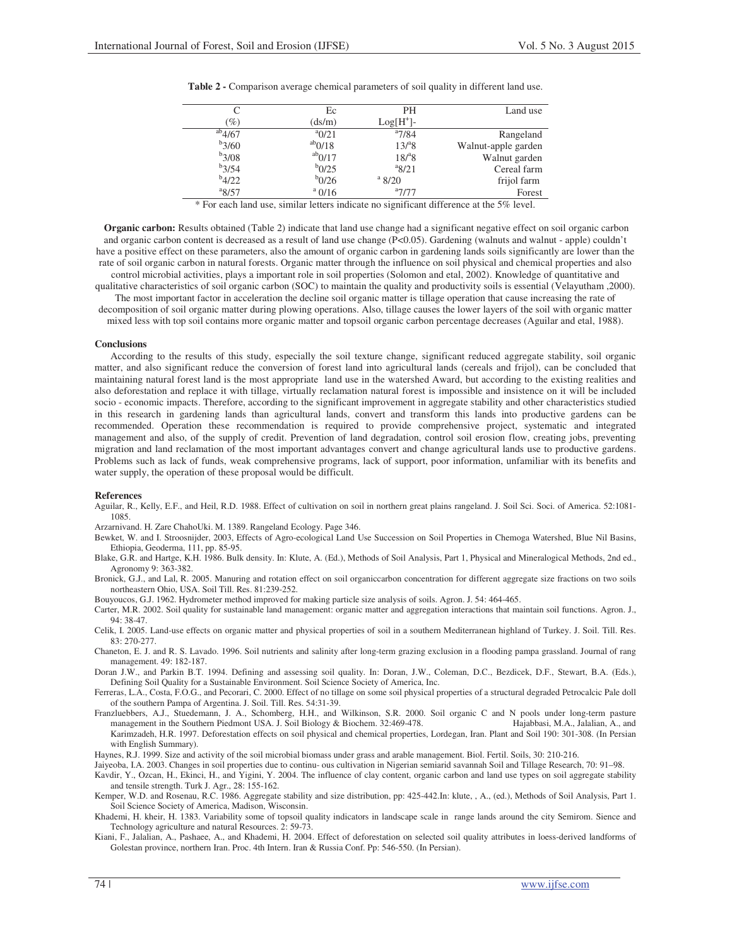|             | Ec              | PH          | Land use            |
|-------------|-----------------|-------------|---------------------|
| $\%$        | (ds/m)          | $Log[H^+]-$ |                     |
| $^{ab}4/67$ | $^{a}$ 0/21     | $a_{7/84}$  | Rangeland           |
| $b$ 3/60    | $^{ab}$ 0/18    | $13^{a}8$   | Walnut-apple garden |
| $b$ 3/08    | $^{ab}$ 0/17    | $18^{a}8$   | Walnut garden       |
| $b$ 3/54    | $b_{0/25}$      | $^{a}8/21$  | Cereal farm         |
| $b_{4/22}$  | $b_{0/26}$      | $a$ 8/20    | frijol farm         |
| 8/57        | $^{\rm a}$ 0/16 | $a_{7/77}$  | Forest              |

**Table 2 -** Comparison average chemical parameters of soil quality in different land use.

\* For each land use, similar letters indicate no significant difference at the 5% level.

**Organic carbon:** Results obtained (Table 2) indicate that land use change had a significant negative effect on soil organic carbon and organic carbon content is decreased as a result of land use change (P<0.05). Gardening (walnuts and walnut - apple) couldn't have a positive effect on these parameters, also the amount of organic carbon in gardening lands soils significantly are lower than the rate of soil organic carbon in natural forests. Organic matter through the influence on soil physical and chemical properties and also control microbial activities, plays a important role in soil properties (Solomon and etal, 2002). Knowledge of quantitative and qualitative characteristics of soil organic carbon (SOC) to maintain the quality and productivity soils is essential (Velayutham ,2000). The most important factor in acceleration the decline soil organic matter is tillage operation that cause increasing the rate of

decomposition of soil organic matter during plowing operations. Also, tillage causes the lower layers of the soil with organic matter mixed less with top soil contains more organic matter and topsoil organic carbon percentage decreases (Aguilar and etal, 1988).

#### **Conclusions**

According to the results of this study, especially the soil texture change, significant reduced aggregate stability, soil organic matter, and also significant reduce the conversion of forest land into agricultural lands (cereals and frijol), can be concluded that maintaining natural forest land is the most appropriate land use in the watershed Award, but according to the existing realities and also deforestation and replace it with tillage, virtually reclamation natural forest is impossible and insistence on it will be included socio - economic impacts. Therefore, according to the significant improvement in aggregate stability and other characteristics studied in this research in gardening lands than agricultural lands, convert and transform this lands into productive gardens can be recommended. Operation these recommendation is required to provide comprehensive project, systematic and integrated management and also, of the supply of credit. Prevention of land degradation, control soil erosion flow, creating jobs, preventing migration and land reclamation of the most important advantages convert and change agricultural lands use to productive gardens. Problems such as lack of funds, weak comprehensive programs, lack of support, poor information, unfamiliar with its benefits and water supply, the operation of these proposal would be difficult.

#### **References**

Aguilar, R., Kelly, E.F., and Heil, R.D. 1988. Effect of cultivation on soil in northern great plains rangeland. J. Soil Sci. Soci. of America. 52:1081- 1085.

Arzarnivand. H. Zare ChahoUki. M. 1389. Rangeland Ecology. Page 346.

Bewket, W. and I. Stroosnijder, 2003, Effects of Agro-ecological Land Use Succession on Soil Properties in Chemoga Watershed, Blue Nil Basins, Ethiopia, Geoderma, 111, pp. 85-95.

Blake, G.R. and Hartge, K.H. 1986. Bulk density. In: Klute, A. (Ed.), Methods of Soil Analysis, Part 1, Physical and Mineralogical Methods, 2nd ed., Agronomy 9: 363-382.

Bronick, G.J., and Lal, R. 2005. Manuring and rotation effect on soil organiccarbon concentration for different aggregate size fractions on two soils northeastern Ohio, USA. Soil Till. Res. 81:239-252.

Bouyoucos, G.J. 1962. Hydrometer method improved for making particle size analysis of soils. Agron. J. 54: 464-465.

Carter, M.R. 2002. Soil quality for sustainable land management: organic matter and aggregation interactions that maintain soil functions. Agron. J.,  $94.38 - 47$ 

Celik, I. 2005. Land-use effects on organic matter and physical properties of soil in a southern Mediterranean highland of Turkey. J. Soil. Till. Res. 83: 270-277.

Chaneton, E. J. and R. S. Lavado. 1996. Soil nutrients and salinity after long-term grazing exclusion in a flooding pampa grassland. Journal of rang management. 49: 182-187.

Doran J.W., and Parkin B.T. 1994. Defining and assessing soil quality. In: Doran, J.W., Coleman, D.C., Bezdicek, D.F., Stewart, B.A. (Eds.), Defining Soil Quality for a Sustainable Environment. Soil Science Society of America, Inc.

Ferreras, L.A., Costa, F.O.G., and Pecorari, C. 2000. Effect of no tillage on some soil physical properties of a structural degraded Petrocalcic Pale doll of the southern Pampa of Argentina. J. Soil. Till. Res. 54:31-39.

Franzluebbers, A.J., Stuedemann, J. A., Schomberg, H.H., and Wilkinson, S.R. 2000. Soil organic C and N pools under long-term pasture management in the Southern Piedmont USA. J. Soil Biology & Biochem. 32:469-478. Hajabbasi, M.A., Jalalian, A., and Karimzadeh, H.R. 1997. Deforestation effects on soil physical and chemical properties, Lordegan, Iran. Plant and Soil 190: 301-308. (In Persian with English Summary).

Haynes, R.J. 1999. Size and activity of the soil microbial biomass under grass and arable management. Biol. Fertil. Soils, 30: 210-216.

Jaiyeoba, I.A. 2003. Changes in soil properties due to continu- ous cultivation in Nigerian semiarid savannah Soil and Tillage Research, 70: 91–98. Kavdir, Y., Ozcan, H., Ekinci, H., and Yigini, Y. 2004. The influence of clay content, organic carbon and land use types on soil aggregate stability

and tensile strength. Turk J. Agr., 28: 155-162.

Kemper, W.D. and Rosenau, R.C. 1986. Aggregate stability and size distribution, pp: 425-442.In: klute, , A., (ed.), Methods of Soil Analysis, Part 1. Soil Science Society of America, Madison, Wisconsin.

Khademi, H. kheir, H. 1383. Variability some of topsoil quality indicators in landscape scale in range lands around the city Semirom. Sience and Technology agriculture and natural Resources. 2: 59-73.

Kiani, F., Jalalian, A., Pashaee, A., and Khademi, H. 2004. Effect of deforestation on selected soil quality attributes in loess-derived landforms of Golestan province, northern Iran. Proc. 4th Intern. Iran & Russia Conf. Pp: 546-550. (In Persian).